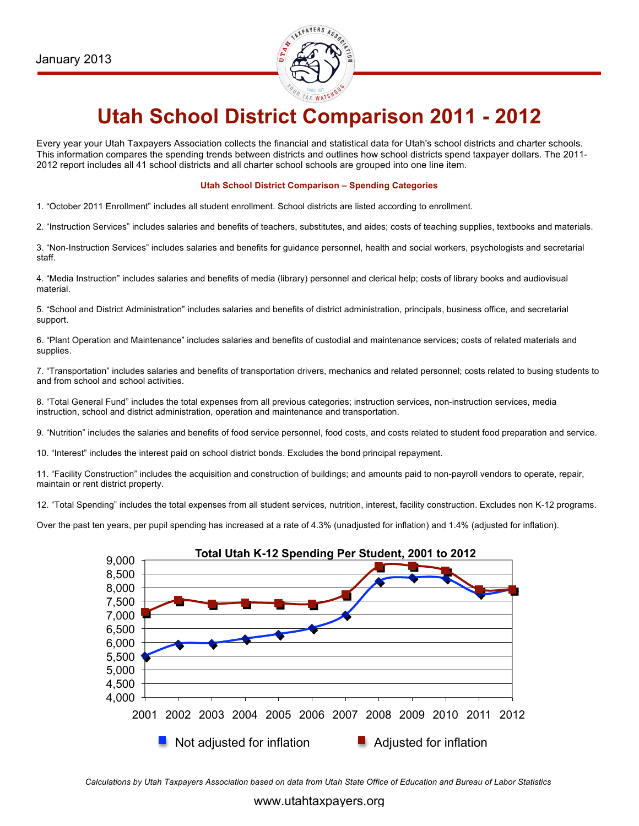

# **Utah School District Comparison 2011 - 2012**

Every year your Utah Taxpayers Association collects the financial and statistical data for Utah's school districts and charter schools. This information compares the spending trends between districts and outlines how school districts spend taxpayer dollars. The 2011- 2012 report includes all 41 school districts and all charter school schools are grouped into one line item.

#### **Utah School District Comparison – Spending Categories**

1. "October 2011 Enrollment" includes all student enrollment. School districts are listed according to enrollment.

2. "Instruction Services" includes salaries and benefits of teachers, substitutes, and aides; costs of teaching supplies, textbooks and materials.

3. "Non-Instruction Services" includes salaries and benefits for guidance personnel, health and social workers, psychologists and secretarial staff.

4. "Media Instruction" includes salaries and benefits of media (library) personnel and clerical help; costs of library books and audiovisual material.

5. "School and District Administration" includes salaries and benefits of district administration, principals, business office, and secretarial support.

6. "Plant Operation and Maintenance" includes salaries and benefits of custodial and maintenance services; costs of related materials and supplies.

7. "Transportation" includes salaries and benefits of transportation drivers, mechanics and related personnel; costs related to busing students to and from school and school activities.

8. "Total General Fund" includes the total expenses from all previous categories; instruction services, non-instruction services, media instruction, school and district administration, operation and maintenance and transportation.

9. "Nutrition" includes the salaries and benefits of food service personnel, food costs, and costs related to student food preparation and service.

10. "Interest" includes the interest paid on school district bonds. Excludes the bond principal repayment.

11. "Facility Construction" includes the acquisition and construction of buildings; and amounts paid to non-payroll vendors to operate, repair, maintain or rent district property.

12. "Total Spending" includes the total expenses from all student services, nutrition, interest, facility construction. Excludes non K-12 programs.

Over the past ten years, per pupil spending has increased at a rate of 4.3% (unadjusted for inflation) and 1.4% (adjusted for inflation).



*Calculations by Utah Taxpayers Association based on data from Utah State Office of Education and Bureau of Labor Statistics*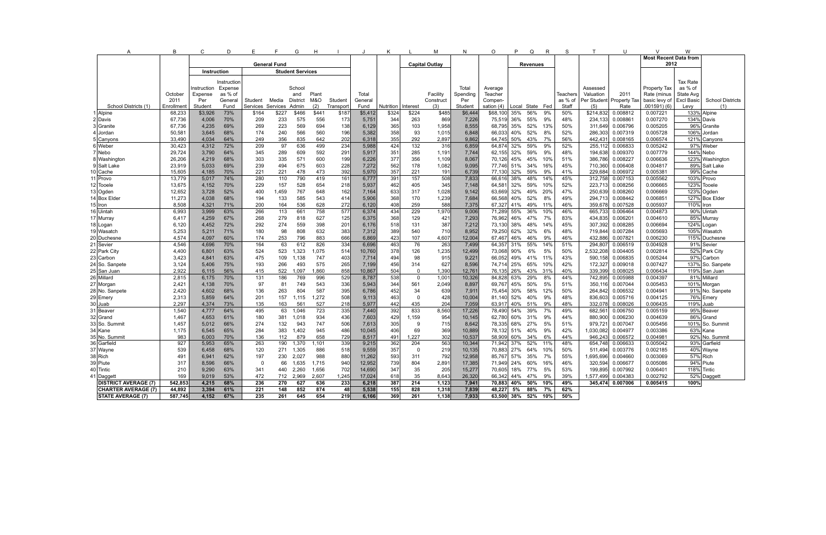| $\overline{A}$              | В              | C                   | D           | E                 | F         | G                       | H          | - 1        | J                     | ĸ                    |                | М            | N               | O                | P                            | Q               | R        | S          | T                  | U                    | $\vee$               | W               |                         |
|-----------------------------|----------------|---------------------|-------------|-------------------|-----------|-------------------------|------------|------------|-----------------------|----------------------|----------------|--------------|-----------------|------------------|------------------------------|-----------------|----------|------------|--------------------|----------------------|----------------------|-----------------|-------------------------|
|                             |                |                     |             |                   |           |                         |            |            |                       |                      |                |              |                 |                  | <b>Most Recent Data from</b> |                 |          |            |                    |                      |                      |                 |                         |
|                             |                | <b>General Fund</b> |             |                   |           |                         |            |            | <b>Capital Outlay</b> |                      |                |              | <b>Revenues</b> |                  |                              |                 |          | 2012       |                    |                      |                      |                 |                         |
|                             |                | Instruction         |             |                   |           | <b>Student Services</b> |            |            |                       |                      |                |              |                 |                  |                              |                 |          |            |                    |                      |                      |                 |                         |
|                             |                |                     | Instruction |                   |           |                         |            |            |                       |                      |                |              |                 |                  |                              |                 |          |            |                    |                      |                      | <b>Tax Rate</b> |                         |
|                             |                | nstruction          | Expense     |                   |           | School                  |            |            |                       |                      |                |              | Total           | Average          |                              |                 |          |            | Assessed           |                      | Property Tax         | as % of         |                         |
|                             | October        | Expense             | as % of     |                   |           | and                     | Plant      |            | Total                 |                      |                | Facility     | Spending        | Teacher          |                              |                 |          | Teachers   | Valuation          | 2011                 | Rate (minus          | State Avg       |                         |
|                             | 2011           | Per                 | General     | Student           | Media     | District                | M&O        | Student    | General               |                      |                | Construct    | Per             | Compen-          |                              |                 |          | as % of    | Per Student        | Property Ta:         | basic levy of        | Excl Basic      | <b>School Districts</b> |
| School Districts (1)        | Enrollment     | Student             | Fund        | Services Services |           | Admin                   | (2)        | Transport  | Fund                  | Nutrition   Interest |                | (3)          | Student         | sation (4)       |                              | Local State Fed |          | Staff      | (5)                | Rate                 | 001591)(6)           | Levy            | (1)                     |
| 1 Alpine                    | 68,233         | \$3,926             | 73%         | \$164             | \$227     | \$466                   | \$441      | \$187      | \$5,412               | \$324                | \$224          | \$485        | \$6,444         | \$68,100         | 35%                          | 56%             | 9%       | 50%        | \$214,832          | 0.008812             | 0.007221             |                 | 133% Alpine             |
| 2 Davis                     | 67,736         | 4,006               | 70%         | 209               | 233       | 575                     | 556        | 173        | 5,751                 | 344                  | 263            | 869          | 7,226           | 75,519 36%       |                              | 55%             | 9%       | 48%        | 234,133            | 0.00886              | 0.007270             | 134% Davis      |                         |
| 3 Granite                   | 67,736         | 4,235               | 69%         | 269               | 223       | 569                     | 694        | 138        | 6,129                 | 365                  | 103            | 1,958        | 8,555           | 68,795 35%       |                              | 52%             | 13%      | 50%        | 311,649            | 0.006796             | 0.005205             |                 | 96% Granite             |
| 4 Jordan                    | 50,581         | 3,645               | 68%         | 174               | 240       | 566                     | 560        | 196        | 5,382                 | 358                  | 93             | 1,015        | 6,848           | 66,033           | 40%                          | 52%             | 8%       | 52%        | 286,303            | 0.007319             | 0.005728             | 106%            | Jordan                  |
| 5 Canyons                   | 33,490         | 4,034               | 64%         | 249               | 356       | 835                     | 642        | 202        | 6,318                 | 355                  | 292            | 2,897        | 9,862           | 64,745           | 50%                          | 43%             | 7%       | 56%        | 442,431            | 0.008165             | 0.006574             |                 | 121% Canyons            |
| 6 Weber                     | 30,423         | 4,312               | 72%         | 209               | 97        | 636                     | 499        | 234        | 5,988                 | 424                  | 132            | 316          | 6,859           | 64,874 32%       |                              | 59%             | 9%       | 52%        | 255,112            | 0.006833             | 0.005242             |                 | 97% Weber               |
| 7 Nebo                      | 29,724         | 3,790               | 64%         | 345               | 289       | 609                     | 592        | 291        | 5,917                 | 351                  | 285            | 1,191        | 7,744           | 62,155 32%       |                              | 59%             | 9%       | 48%        | 194,638            | 0.009370             | 0.007779             | 144% Nebo       |                         |
| 8 Washington                | 26,206         | 4,219               | 68%         | 303               | 335       | 571                     | 600        | 199        | 6,226                 | 377                  | 356            | 1,109        | 8,067           | 70,126           | 45%                          | 45%             | 10%      | 51%        | 386,786            | 0.008227             | 0.006636             |                 | 123% Washington         |
| 9 Salt Lake                 | 23,919         | 5,033               | 69%         | 239               | 494       | 675                     | 603        | 228        | 7,272                 | 562                  | 178            | 1,082        | 9,095           | 77,746 51%       |                              | 34%             | 16%      | 45%        | 710,360            | 0.006408             | 0.004817             |                 | 89% Salt Lake           |
| 0 Cache                     | 15.605         | 4,185               | 70%         | 221               | 221       | 478                     | 473        | 392        | 5,970                 | 357                  | 221            | 191          | 6,739           | 77.130           | 32%                          | 59%             | 9%       | 41%        | 229,684            | 0.006972             | 0.005381             |                 | 99% Cache               |
| 11 Provo                    | 13,779         | 5,017               | 74%         | 280               | 110       | 790                     | 419        | 161        | 6,777                 | 391                  | 157            | 508          | 7,833           | 66,616           | 38%                          | 48%             | 14%      | 45%        | 312,758            | 0.007153             | 0.005562             | 103% Provo      |                         |
| 12   Tooele                 | 13,675         | 4,152               | 70%         | 229               | 157       | 528                     | 654        | 218        | 5,937                 | 462                  | 405            | 345          | 7,148           | 64,581 32%       |                              | 59%             | 10%      | 52%        | 223,713            | 0.008256             | 0.006665             | 123%            | Tooele                  |
| 13 Ogden                    | 12,652         | 3,728               | 52%         | 400               | 1,459     | 767                     | 648        | 162        | 7,164                 | 633                  | 317            | 1,028        | 9,142           | 63,669           | 32%                          | 49%             | 20%      | 47%        | 250,639            | 0.008260             | 0.006669             |                 | 123% Ogden              |
| <b>Box Elder</b><br>14      | 11,273         | 4,038               | 68%         | 194               | 133       | 585                     | 543        | 414        | 5,906                 | 368                  | 170            | 1,239        | 7,684           | 66,568           | 40%                          | 52%             | 8%       | 49%        | 294,713            | 0.008442             | 0.006851             |                 | 127% Box Elder          |
| 5 l Iron                    | 8,508          | 4,321               | 71%         | 200               | 164       | 536                     | 628        | 272        | 6,120                 | 408                  | 259            | 588          | 7,375           | 67,327           | 41%                          | 49%             | 11%      | 46%        | 359,678            | 0.007528             | 0.005937             | 110% Iron       |                         |
| 16 Uintah                   | 6,993          | 3.999               | 63%         | 266               | 113       | 661                     | 758        | 577        | 6,374                 | 434                  | 229            | 1,970        | 9,006           | 71.289           | 55%                          | 36%             | 10%      | 46%        | 665,733            | 0.006464             | 0.004873             |                 | 90% Uintah              |
| 17   Murray                 | 6,417          | 4,259               | 67%         | 268               | 279       | 818                     | 627        | 125        | 6,375                 | 368                  | 129            | 421          | 7,293           | 76,962 46%       |                              | 47%             | 7%       | 83%        | 434,835            | 0.006201             | 0.004610             |                 | 85% Murray              |
| 18 Logan                    | 6,120          | 4,452               | 72%         | 292               | 274       | 559                     | 398        | 201        | 6,176                 | 518                  | 131            | 387          | 7,212           | 73,130           | 38%                          | 48%             | 14%      | 45%        | 307,392            | 0.008285             | 0.006694             |                 | 124% Logan              |
| 19 Wasatch                  | 5,253          | 5,211               | 71%         | 180               | 98        | 808                     | 632        | 383        | 7,312                 | 389                  | 540            | 710          | 8,952           | 79,250           | 62%                          | 32%             | 6%       | 48%        | 719,844            | 0.007284             | 0.005693             |                 | 105% Wasatch            |
| 20 <br>Duchesne             | 4,574          | 4,097               | 60%         | 174               | 253       | 796                     | 883        | 666        | 6,869                 | 423                  | 107            | 4,607        | 12,004          | 67,467           | 46%                          | 46%             | 9%       | 46%        | 432,886            | 0.007821             | 0.006230             |                 | 115% Duchesne           |
| 21<br>Sevier                | 4,546          | 4.696               | 70%         | 164               | 63        | 612                     | 826        | 334        | 6,696                 | 463                  | 76             | 263          | 7,499           | 64,357           | 31%                          | 55%             | 14%      | 51%        | 294,807            | 0.006519             | 0.004928             |                 | 91% Sevier              |
| 22 Park City                | 4,400          | 6,801               | 63%         | 524               | 523       | 1,323                   | 1,075      | 514        | 10,760                | 378                  | 126            | 1,235        | 12,499          | 73,068 90%       |                              | 6%              | 5%       | 50%        | 2,532,208          | 0.004405             | 0.002814             |                 | 52% Park City           |
| 23 Carbon                   | 3,423          | 4.841               | 63%         | 475               | 109       | 1.138                   | 747        | 403        | 7,714                 | 494                  | 98             | 915          | 9,22'           | 66.052           | 49%                          | 41%             | 11%      | 43%        | 590.158            | 0.006835             | 0.005244             |                 | 97% Carbon              |
| 24 So. Sanpete              | 3,124          | 5,406               | 75%         | 193               | 266       | 493                     | 575        | 265        | 7,199                 | 456                  | 314            | 627          | 8,596           | 74,714           | 25%                          | 65%             | 10%      | 42%        | 172,327            | 0.009018             | 0.007427             |                 | 137% So. Sanpete        |
| 25 San Juan                 | 2,922          | 6,115               | 56%         | 415               | 522       | 1,097                   | 1,860      | 858        | 10,867                | 504                  | $\mathbf 0$    | 1,390        | $12,76^{\circ}$ | 76,135           | 26% 43%                      |                 | 31%      | 40%        | 339,399            | 0.008025             | 0.006434             |                 | 119% San Juan           |
| 26 Millard                  | 2,815          | 6,175               | 70%         | 131               | 186       | 769                     | 996        | 529        | 8,787                 | 538                  | $\mathbf 0$    | 1,001        | 10,326          | 84,828           | 63%                          | 29%             | 8%       | 44%        | 742,895            | 0.005988             | 0.004397             |                 | 81% Millard             |
| 27 Morgan                   | 2,421          | 4,138               | 70%         | 97                | 81        | 749                     | 543        | 336        | 5,943                 | 344                  | 561            | 2,049        | 8,897           | 69,767           | 45%                          | 50%             | 5%       | 51%        | 350,116            | 0.007044             | 0.005453             |                 | 101% Morgan             |
| 28 No. Sanpete              | 2,420          | 4.602               | 68%         | 136               | 263       | 804                     | 587        | 395        | 6,786                 | 452                  | 34             | 639          | 7,91            | 75.454           | 30%                          | 58%             | 12%      | 50%        | 264.842            | 0.006532             | 0.004941             |                 | 91% No. Sanpete         |
| 29 Emery<br>30              | 2,313<br>2.297 | 5,859               | 64%         | 201               | 157       | 1,115<br>561            | 1,272      | 508<br>218 | 9,113                 | 463                  | $\mathbf 0$    | 428          | 10,004          | 81,140<br>63.917 | 52%                          | 40%<br>51%      | 9%       | 48%<br>48% | 836,603<br>332.078 | 0.005716<br>0.008026 | 0.004125<br>0.006435 | 119% Juab       | 76% Emery               |
| Juab<br>31 Beaver           | 1,540          | 4,374<br>4,777      | 73%<br>64%  | 135<br>495        | 163<br>63 | 1.046                   | 527<br>723 | 335        | 5,977<br>7,440        | 442<br>392           | 435<br>833     | 204<br>8,560 | 7,059<br>17,226 | 78,490           | 40%<br>54%                   | 39%             | 9%<br>7% | 49%        | 682,561            | 0.006750             | 0.005159             |                 | 95% Beaver              |
| 32 Grand                    | 1,467          | 4,653               | 61%         | 180               | 381       |                         | 934        | 436        | 7,603                 | 429                  | 1,159          | 954          | 10,145          | 62,780 60%       |                              | 31%             | 9%       | 44%        | 880,900            | 0.006230             | 0.004639             |                 | 86% Grand               |
| 33∫So. Summit               | 1,457          | 5.012               | 66%         | 274               | 132       | 1,018<br>943            | 747        | 506        | 7,613                 | 305                  | -9             | 715          | 8,642           | 78,335           | 68%                          | 27%             | 5%       | 51%        | 979.72             | 0.007047             | 0.005456             |                 | 101% So. Summit         |
| 34   Kane                   | 1,175          | 6,545               | 65%         | 284               | 383       | 1,402                   | 945        | 486        | 10,045                | 406                  | 69             | 369          | 10,889          | 78,132 51%       |                              | 40%             | 9%       | 42%        | 1,030,082          | 0.004977             | 0.003386             |                 | 63% Kane                |
| 35   No. Summit             | 983            | 6,003               | 70%         | 136               | 112       | 879                     | 658        | 729        | 8,517                 | 491                  | 1,227          | 302          | 10,537          | 58,909           | 60%                          | 34%             | 6%       | 44%        | 946,243            | 0.006572             | 0.004981             |                 | 92% No. Summit          |
| 36   Garfield               | 927            | 5,953               | 65%         | 263               | 190       | 1,370                   | 1,101      | 339        | 9,215                 | 362                  | 204            | 563          | 10,344          | 71,942           | 37%                          | 52%             | 11%      | 48%        | 654,748            | 0.006633             | 0.005042             |                 | 93% Garfield            |
| 37 Wayne                    | 539            | 6,458               | 68%         | 120               | 271       | 1,305                   | 886        | 518        | 9,559                 | 357                  | $\overline{0}$ | 219          | 10,135          | 70,883 27%       |                              | 64%             | 10%      | 50%        | 511,494            | 0.003776             | 0.002185             |                 | 40% Wayne               |
| 38 Rich                     | 491            | 6,941               | 62%         | 197               | 230       | 2,027                   | 988        | 880        | 11,262                | 593                  | 311            | 792          | 12,958          | 85,767           | 57%                          | 35%             | 7%       | 55%        | 1,695,696          | 0.004660             | 0.003069             |                 | 57% Rich                |
| 39   Piute                  | 317            | 8,596               | 66%         | $\Omega$          | 66        | 1,635                   | 1,715      | 940        | 12,952                | 739                  | 804            | 2,891        | 17,385          | 71,949 24%       |                              | 60%             | 16%      | 46%        | 320,594            | 0.006677             | 0.005086             |                 | 94% Piute               |
| 40   Tintic                 | 210            | 9,290               | 63%         | 341               | 440       | 2,260                   | 1,656      | 702        | 14,690                | 347                  | 35             | 205          | 15,277          | 70,605           | 18%                          | 77%             | 5%       | 53%        | 199,895            | 0.007992             | 0.006401             | 118% Tintic     |                         |
| Daggett<br>41               | 169            | 9,019               | 53%         | 472               | 712       | 2,969                   | 2,607      | 1,245      | 17,024                | 618                  | 35             | 8,643        | 26,320          | 66,342           | 44%                          | 47%             | 9%       | 39%        | 1,577,499          | 0.004383             | 0.002792             |                 | 52% Daggett             |
| <b>DISTRICT AVERAGE (7)</b> | 542,853        | 4,215               | 68%         | 236               | 270       | 627                     | 636        | 233        | 6,218                 | 387                  | 214            | 1,123        | 7,941           | 70,883 40%       |                              | 50%             | 10%      | 49%        | 345,474            | 0.007006             | 0.005415             | 100%            |                         |
| <b>CHARTER AVERAGE (7)</b>  | 44,892         | 3,394               | 61%         | 221               | 148       | 852                     | 874        | 48         | 5,538                 | 155                  | 828            | 1,318        | 7,839           | 48,227           | 5%                           | 88%             | 7%       | 62%        |                    |                      |                      |                 |                         |
| <b>STATE AVERAGE (7)</b>    | 587,745        | 4,152               | 67%         | 235               | 261       | 645                     | 654        | 219        | 6,166                 | 369                  | 261            | 1,138        | 7,933           | 63,500 38%       |                              | 52%             | 10%      | 50%        |                    |                      |                      |                 |                         |
|                             |                |                     |             |                   |           |                         |            |            |                       |                      |                |              |                 |                  |                              |                 |          |            |                    |                      |                      |                 |                         |